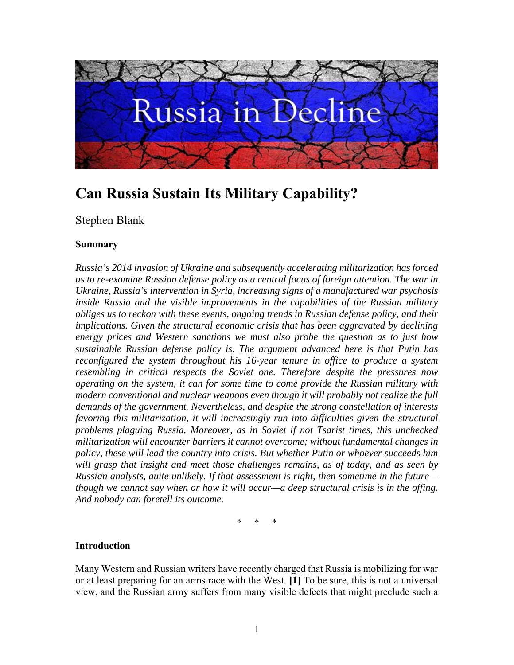

# **Can Russia Sustain Its Military Capability?**

# Stephen Blank

### **Summary**

*Russia's 2014 invasion of Ukraine and subsequently accelerating militarization has forced us to re-examine Russian defense policy as a central focus of foreign attention. The war in Ukraine, Russia's intervention in Syria, increasing signs of a manufactured war psychosis inside Russia and the visible improvements in the capabilities of the Russian military obliges us to reckon with these events, ongoing trends in Russian defense policy, and their implications. Given the structural economic crisis that has been aggravated by declining energy prices and Western sanctions we must also probe the question as to just how sustainable Russian defense policy is. The argument advanced here is that Putin has reconfigured the system throughout his 16-year tenure in office to produce a system resembling in critical respects the Soviet one. Therefore despite the pressures now operating on the system, it can for some time to come provide the Russian military with modern conventional and nuclear weapons even though it will probably not realize the full demands of the government. Nevertheless, and despite the strong constellation of interests favoring this militarization, it will increasingly run into difficulties given the structural problems plaguing Russia. Moreover, as in Soviet if not Tsarist times, this unchecked militarization will encounter barriers it cannot overcome; without fundamental changes in policy, these will lead the country into crisis. But whether Putin or whoever succeeds him will grasp that insight and meet those challenges remains, as of today, and as seen by Russian analysts, quite unlikely. If that assessment is right, then sometime in the future though we cannot say when or how it will occur—a deep structural crisis is in the offing. And nobody can foretell its outcome.* 

\* \* \*

#### **Introduction**

Many Western and Russian writers have recently charged that Russia is mobilizing for war or at least preparing for an arms race with the West. **[1]** To be sure, this is not a universal view, and the Russian army suffers from many visible defects that might preclude such a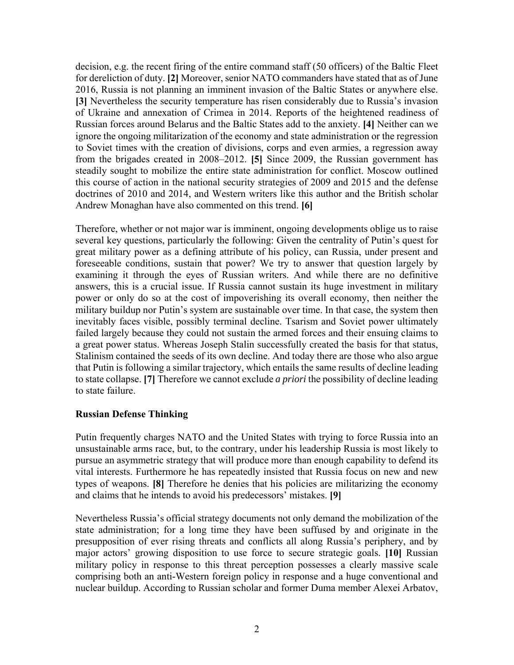decision, e.g. the recent firing of the entire command staff (50 officers) of the Baltic Fleet for dereliction of duty. **[2]** Moreover, senior NATO commanders have stated that as of June 2016, Russia is not planning an imminent invasion of the Baltic States or anywhere else. **[3]** Nevertheless the security temperature has risen considerably due to Russia's invasion of Ukraine and annexation of Crimea in 2014. Reports of the heightened readiness of Russian forces around Belarus and the Baltic States add to the anxiety. **[4]** Neither can we ignore the ongoing militarization of the economy and state administration or the regression to Soviet times with the creation of divisions, corps and even armies, a regression away from the brigades created in 2008–2012. **[5]** Since 2009, the Russian government has steadily sought to mobilize the entire state administration for conflict. Moscow outlined this course of action in the national security strategies of 2009 and 2015 and the defense doctrines of 2010 and 2014, and Western writers like this author and the British scholar Andrew Monaghan have also commented on this trend. **[6]**

Therefore, whether or not major war is imminent, ongoing developments oblige us to raise several key questions, particularly the following: Given the centrality of Putin's quest for great military power as a defining attribute of his policy, can Russia, under present and foreseeable conditions, sustain that power? We try to answer that question largely by examining it through the eyes of Russian writers. And while there are no definitive answers, this is a crucial issue. If Russia cannot sustain its huge investment in military power or only do so at the cost of impoverishing its overall economy, then neither the military buildup nor Putin's system are sustainable over time. In that case, the system then inevitably faces visible, possibly terminal decline. Tsarism and Soviet power ultimately failed largely because they could not sustain the armed forces and their ensuing claims to a great power status. Whereas Joseph Stalin successfully created the basis for that status, Stalinism contained the seeds of its own decline. And today there are those who also argue that Putin is following a similar trajectory, which entails the same results of decline leading to state collapse. **[7]** Therefore we cannot exclude *a priori* the possibility of decline leading to state failure.

#### **Russian Defense Thinking**

Putin frequently charges NATO and the United States with trying to force Russia into an unsustainable arms race, but, to the contrary, under his leadership Russia is most likely to pursue an asymmetric strategy that will produce more than enough capability to defend its vital interests. Furthermore he has repeatedly insisted that Russia focus on new and new types of weapons. **[8]** Therefore he denies that his policies are militarizing the economy and claims that he intends to avoid his predecessors' mistakes. **[9]** 

Nevertheless Russia's official strategy documents not only demand the mobilization of the state administration; for a long time they have been suffused by and originate in the presupposition of ever rising threats and conflicts all along Russia's periphery, and by major actors' growing disposition to use force to secure strategic goals. **[10]** Russian military policy in response to this threat perception possesses a clearly massive scale comprising both an anti-Western foreign policy in response and a huge conventional and nuclear buildup. According to Russian scholar and former Duma member Alexei Arbatov,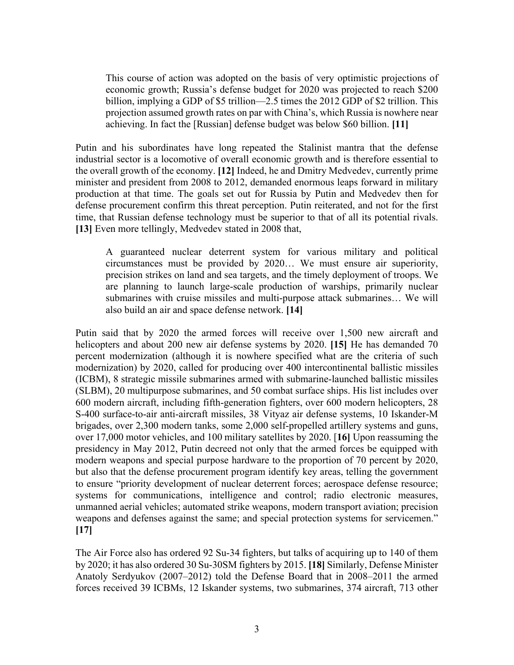This course of action was adopted on the basis of very optimistic projections of economic growth; Russia's defense budget for 2020 was projected to reach \$200 billion, implying a GDP of \$5 trillion—2.5 times the 2012 GDP of \$2 trillion. This projection assumed growth rates on par with China's, which Russia is nowhere near achieving. In fact the [Russian] defense budget was below \$60 billion. **[11]**

Putin and his subordinates have long repeated the Stalinist mantra that the defense industrial sector is a locomotive of overall economic growth and is therefore essential to the overall growth of the economy. **[12]** Indeed, he and Dmitry Medvedev, currently prime minister and president from 2008 to 2012, demanded enormous leaps forward in military production at that time. The goals set out for Russia by Putin and Medvedev then for defense procurement confirm this threat perception. Putin reiterated, and not for the first time, that Russian defense technology must be superior to that of all its potential rivals. **[13]** Even more tellingly, Medvedev stated in 2008 that,

A guaranteed nuclear deterrent system for various military and political circumstances must be provided by 2020… We must ensure air superiority, precision strikes on land and sea targets, and the timely deployment of troops. We are planning to launch large-scale production of warships, primarily nuclear submarines with cruise missiles and multi-purpose attack submarines… We will also build an air and space defense network. **[14]**

Putin said that by 2020 the armed forces will receive over 1,500 new aircraft and helicopters and about 200 new air defense systems by 2020. **[15]** He has demanded 70 percent modernization (although it is nowhere specified what are the criteria of such modernization) by 2020, called for producing over 400 intercontinental ballistic missiles (ICBM), 8 strategic missile submarines armed with submarine-launched ballistic missiles (SLBM), 20 multipurpose submarines, and 50 combat surface ships. His list includes over 600 modern aircraft, including fifth-generation fighters, over 600 modern helicopters, 28 S-400 surface-to-air anti-aircraft missiles, 38 Vityaz air defense systems, 10 Iskander-M brigades, over 2,300 modern tanks, some 2,000 self-propelled artillery systems and guns, over 17,000 motor vehicles, and 100 military satellites by 2020. [**16]** Upon reassuming the presidency in May 2012, Putin decreed not only that the armed forces be equipped with modern weapons and special purpose hardware to the proportion of 70 percent by 2020, but also that the defense procurement program identify key areas, telling the government to ensure "priority development of nuclear deterrent forces; aerospace defense resource; systems for communications, intelligence and control; radio electronic measures, unmanned aerial vehicles; automated strike weapons, modern transport aviation; precision weapons and defenses against the same; and special protection systems for servicemen." **[17]**

The Air Force also has ordered 92 Su-34 fighters, but talks of acquiring up to 140 of them by 2020; it has also ordered 30 Su-30SM fighters by 2015. **[18]** Similarly, Defense Minister Anatoly Serdyukov (2007–2012) told the Defense Board that in 2008–2011 the armed forces received 39 ICBMs, 12 Iskander systems, two submarines, 374 aircraft, 713 other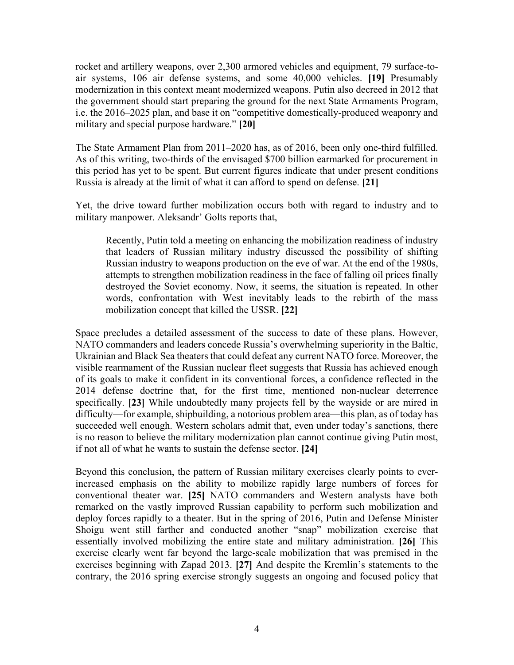rocket and artillery weapons, over 2,300 armored vehicles and equipment, 79 surface-toair systems, 106 air defense systems, and some 40,000 vehicles. **[19]** Presumably modernization in this context meant modernized weapons. Putin also decreed in 2012 that the government should start preparing the ground for the next State Armaments Program, i.e. the 2016–2025 plan, and base it on "competitive domestically-produced weaponry and military and special purpose hardware." **[20]**

The State Armament Plan from 2011–2020 has, as of 2016, been only one-third fulfilled. As of this writing, two-thirds of the envisaged \$700 billion earmarked for procurement in this period has yet to be spent. But current figures indicate that under present conditions Russia is already at the limit of what it can afford to spend on defense. **[21]**

Yet, the drive toward further mobilization occurs both with regard to industry and to military manpower. Aleksandr' Golts reports that,

Recently, Putin told a meeting on enhancing the mobilization readiness of industry that leaders of Russian military industry discussed the possibility of shifting Russian industry to weapons production on the eve of war. At the end of the 1980s, attempts to strengthen mobilization readiness in the face of falling oil prices finally destroyed the Soviet economy. Now, it seems, the situation is repeated. In other words, confrontation with West inevitably leads to the rebirth of the mass mobilization concept that killed the USSR. **[22]**

Space precludes a detailed assessment of the success to date of these plans. However, NATO commanders and leaders concede Russia's overwhelming superiority in the Baltic, Ukrainian and Black Sea theaters that could defeat any current NATO force. Moreover, the visible rearmament of the Russian nuclear fleet suggests that Russia has achieved enough of its goals to make it confident in its conventional forces, a confidence reflected in the 2014 defense doctrine that, for the first time, mentioned non-nuclear deterrence specifically. **[23]** While undoubtedly many projects fell by the wayside or are mired in difficulty—for example, shipbuilding, a notorious problem area—this plan, as of today has succeeded well enough. Western scholars admit that, even under today's sanctions, there is no reason to believe the military modernization plan cannot continue giving Putin most, if not all of what he wants to sustain the defense sector. **[24]**

Beyond this conclusion, the pattern of Russian military exercises clearly points to everincreased emphasis on the ability to mobilize rapidly large numbers of forces for conventional theater war. **[25]** NATO commanders and Western analysts have both remarked on the vastly improved Russian capability to perform such mobilization and deploy forces rapidly to a theater. But in the spring of 2016, Putin and Defense Minister Shoigu went still farther and conducted another "snap" mobilization exercise that essentially involved mobilizing the entire state and military administration. **[26]** This exercise clearly went far beyond the large-scale mobilization that was premised in the exercises beginning with Zapad 2013. **[27]** And despite the Kremlin's statements to the contrary, the 2016 spring exercise strongly suggests an ongoing and focused policy that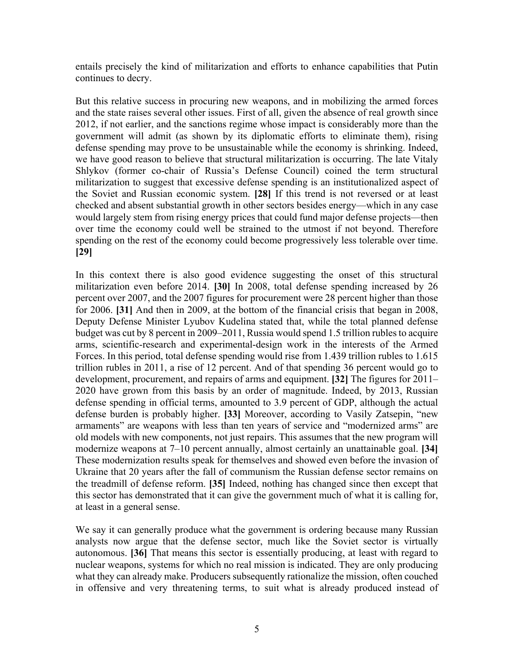entails precisely the kind of militarization and efforts to enhance capabilities that Putin continues to decry.

But this relative success in procuring new weapons, and in mobilizing the armed forces and the state raises several other issues. First of all, given the absence of real growth since 2012, if not earlier, and the sanctions regime whose impact is considerably more than the government will admit (as shown by its diplomatic efforts to eliminate them), rising defense spending may prove to be unsustainable while the economy is shrinking. Indeed, we have good reason to believe that structural militarization is occurring. The late Vitaly Shlykov (former co-chair of Russia's Defense Council) coined the term structural militarization to suggest that excessive defense spending is an institutionalized aspect of the Soviet and Russian economic system. **[28]** If this trend is not reversed or at least checked and absent substantial growth in other sectors besides energy—which in any case would largely stem from rising energy prices that could fund major defense projects—then over time the economy could well be strained to the utmost if not beyond. Therefore spending on the rest of the economy could become progressively less tolerable over time. **[29]**

In this context there is also good evidence suggesting the onset of this structural militarization even before 2014. **[30]** In 2008, total defense spending increased by 26 percent over 2007, and the 2007 figures for procurement were 28 percent higher than those for 2006. **[31]** And then in 2009, at the bottom of the financial crisis that began in 2008, Deputy Defense Minister Lyubov Kudelina stated that, while the total planned defense budget was cut by 8 percent in 2009–2011, Russia would spend 1.5 trillion rubles to acquire arms, scientific-research and experimental-design work in the interests of the Armed Forces. In this period, total defense spending would rise from 1.439 trillion rubles to 1.615 trillion rubles in 2011, a rise of 12 percent. And of that spending 36 percent would go to development, procurement, and repairs of arms and equipment. **[32]** The figures for 2011– 2020 have grown from this basis by an order of magnitude. Indeed, by 2013, Russian defense spending in official terms, amounted to 3.9 percent of GDP, although the actual defense burden is probably higher. **[33]** Moreover, according to Vasily Zatsepin, "new armaments" are weapons with less than ten years of service and "modernized arms" are old models with new components, not just repairs. This assumes that the new program will modernize weapons at 7–10 percent annually, almost certainly an unattainable goal. **[34]** These modernization results speak for themselves and showed even before the invasion of Ukraine that 20 years after the fall of communism the Russian defense sector remains on the treadmill of defense reform. **[35]** Indeed, nothing has changed since then except that this sector has demonstrated that it can give the government much of what it is calling for, at least in a general sense.

We say it can generally produce what the government is ordering because many Russian analysts now argue that the defense sector, much like the Soviet sector is virtually autonomous. **[36]** That means this sector is essentially producing, at least with regard to nuclear weapons, systems for which no real mission is indicated. They are only producing what they can already make. Producers subsequently rationalize the mission, often couched in offensive and very threatening terms, to suit what is already produced instead of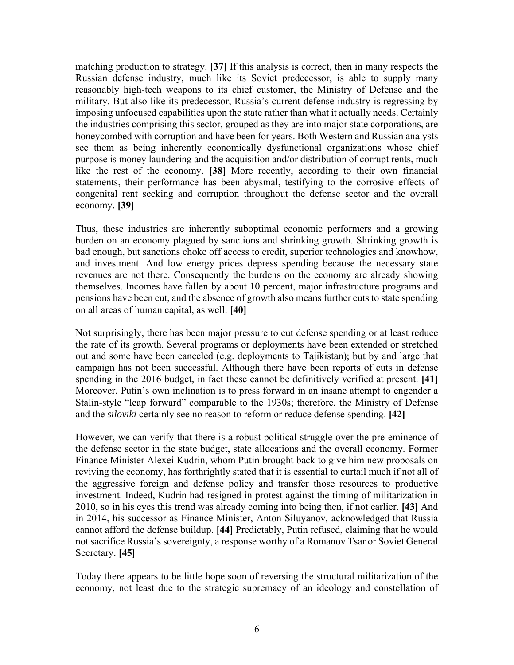matching production to strategy. **[37]** If this analysis is correct, then in many respects the Russian defense industry, much like its Soviet predecessor, is able to supply many reasonably high-tech weapons to its chief customer, the Ministry of Defense and the military. But also like its predecessor, Russia's current defense industry is regressing by imposing unfocused capabilities upon the state rather than what it actually needs. Certainly the industries comprising this sector, grouped as they are into major state corporations, are honeycombed with corruption and have been for years. Both Western and Russian analysts see them as being inherently economically dysfunctional organizations whose chief purpose is money laundering and the acquisition and/or distribution of corrupt rents, much like the rest of the economy. **[38]** More recently, according to their own financial statements, their performance has been abysmal, testifying to the corrosive effects of congenital rent seeking and corruption throughout the defense sector and the overall economy. **[39]**

Thus, these industries are inherently suboptimal economic performers and a growing burden on an economy plagued by sanctions and shrinking growth. Shrinking growth is bad enough, but sanctions choke off access to credit, superior technologies and knowhow, and investment. And low energy prices depress spending because the necessary state revenues are not there. Consequently the burdens on the economy are already showing themselves. Incomes have fallen by about 10 percent, major infrastructure programs and pensions have been cut, and the absence of growth also means further cuts to state spending on all areas of human capital, as well. **[40]**

Not surprisingly, there has been major pressure to cut defense spending or at least reduce the rate of its growth. Several programs or deployments have been extended or stretched out and some have been canceled (e.g. deployments to Tajikistan); but by and large that campaign has not been successful. Although there have been reports of cuts in defense spending in the 2016 budget, in fact these cannot be definitively verified at present. **[41]** Moreover, Putin's own inclination is to press forward in an insane attempt to engender a Stalin-style "leap forward" comparable to the 1930s; therefore, the Ministry of Defense and the *siloviki* certainly see no reason to reform or reduce defense spending. **[42]**

However, we can verify that there is a robust political struggle over the pre-eminence of the defense sector in the state budget, state allocations and the overall economy. Former Finance Minister Alexei Kudrin, whom Putin brought back to give him new proposals on reviving the economy, has forthrightly stated that it is essential to curtail much if not all of the aggressive foreign and defense policy and transfer those resources to productive investment. Indeed, Kudrin had resigned in protest against the timing of militarization in 2010, so in his eyes this trend was already coming into being then, if not earlier. **[43]** And in 2014, his successor as Finance Minister, Anton Siluyanov, acknowledged that Russia cannot afford the defense buildup. **[44]** Predictably, Putin refused, claiming that he would not sacrifice Russia's sovereignty, a response worthy of a Romanov Tsar or Soviet General Secretary. **[45]**

Today there appears to be little hope soon of reversing the structural militarization of the economy, not least due to the strategic supremacy of an ideology and constellation of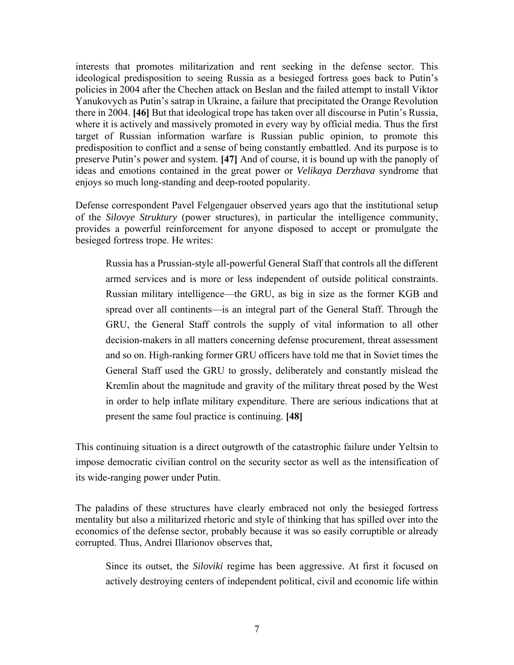interests that promotes militarization and rent seeking in the defense sector. This ideological predisposition to seeing Russia as a besieged fortress goes back to Putin's policies in 2004 after the Chechen attack on Beslan and the failed attempt to install Viktor Yanukovych as Putin's satrap in Ukraine, a failure that precipitated the Orange Revolution there in 2004. **[46]** But that ideological trope has taken over all discourse in Putin's Russia, where it is actively and massively promoted in every way by official media. Thus the first target of Russian information warfare is Russian public opinion, to promote this predisposition to conflict and a sense of being constantly embattled. And its purpose is to preserve Putin's power and system. **[47]** And of course, it is bound up with the panoply of ideas and emotions contained in the great power or *Velikaya Derzhava* syndrome that enjoys so much long-standing and deep-rooted popularity.

Defense correspondent Pavel Felgengauer observed years ago that the institutional setup of the *Silovye Struktury* (power structures), in particular the intelligence community, provides a powerful reinforcement for anyone disposed to accept or promulgate the besieged fortress trope. He writes:

Russia has a Prussian-style all-powerful General Staff that controls all the different armed services and is more or less independent of outside political constraints. Russian military intelligence—the GRU, as big in size as the former KGB and spread over all continents—is an integral part of the General Staff. Through the GRU, the General Staff controls the supply of vital information to all other decision-makers in all matters concerning defense procurement, threat assessment and so on. High-ranking former GRU officers have told me that in Soviet times the General Staff used the GRU to grossly, deliberately and constantly mislead the Kremlin about the magnitude and gravity of the military threat posed by the West in order to help inflate military expenditure. There are serious indications that at present the same foul practice is continuing. **[48]**

This continuing situation is a direct outgrowth of the catastrophic failure under Yeltsin to impose democratic civilian control on the security sector as well as the intensification of its wide-ranging power under Putin.

The paladins of these structures have clearly embraced not only the besieged fortress mentality but also a militarized rhetoric and style of thinking that has spilled over into the economics of the defense sector, probably because it was so easily corruptible or already corrupted. Thus, Andrei Illarionov observes that,

Since its outset, the *Siloviki* regime has been aggressive. At first it focused on actively destroying centers of independent political, civil and economic life within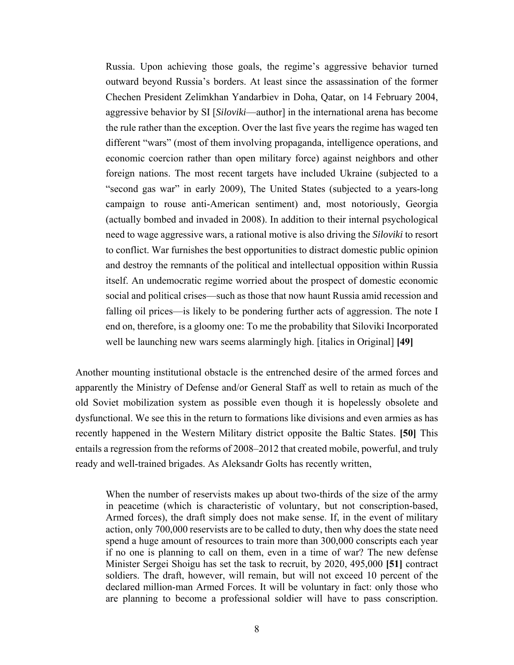Russia. Upon achieving those goals, the regime's aggressive behavior turned outward beyond Russia's borders. At least since the assassination of the former Chechen President Zelimkhan Yandarbiev in Doha, Qatar, on 14 February 2004, aggressive behavior by SI [*Siloviki*—author] in the international arena has become the rule rather than the exception. Over the last five years the regime has waged ten different "wars" (most of them involving propaganda, intelligence operations, and economic coercion rather than open military force) against neighbors and other foreign nations. The most recent targets have included Ukraine (subjected to a "second gas war" in early 2009), The United States (subjected to a years-long campaign to rouse anti-American sentiment) and, most notoriously, Georgia (actually bombed and invaded in 2008). In addition to their internal psychological need to wage aggressive wars, a rational motive is also driving the *Siloviki* to resort to conflict. War furnishes the best opportunities to distract domestic public opinion and destroy the remnants of the political and intellectual opposition within Russia itself. An undemocratic regime worried about the prospect of domestic economic social and political crises—such as those that now haunt Russia amid recession and falling oil prices—is likely to be pondering further acts of aggression. The note I end on, therefore, is a gloomy one: To me the probability that Siloviki Incorporated well be launching new wars seems alarmingly high. [italics in Original] **[49]**

Another mounting institutional obstacle is the entrenched desire of the armed forces and apparently the Ministry of Defense and/or General Staff as well to retain as much of the old Soviet mobilization system as possible even though it is hopelessly obsolete and dysfunctional. We see this in the return to formations like divisions and even armies as has recently happened in the Western Military district opposite the Baltic States. **[50]** This entails a regression from the reforms of 2008–2012 that created mobile, powerful, and truly ready and well-trained brigades. As Aleksandr Golts has recently written,

When the number of reservists makes up about two-thirds of the size of the army in peacetime (which is characteristic of voluntary, but not conscription-based, Armed forces), the draft simply does not make sense. If, in the event of military action, only 700,000 reservists are to be called to duty, then why does the state need spend a huge amount of resources to train more than 300,000 conscripts each year if no one is planning to call on them, even in a time of war? The new defense Minister Sergei Shoigu has set the task to recruit, by 2020, 495,000 **[51]** contract soldiers. The draft, however, will remain, but will not exceed 10 percent of the declared million-man Armed Forces. It will be voluntary in fact: only those who are planning to become a professional soldier will have to pass conscription.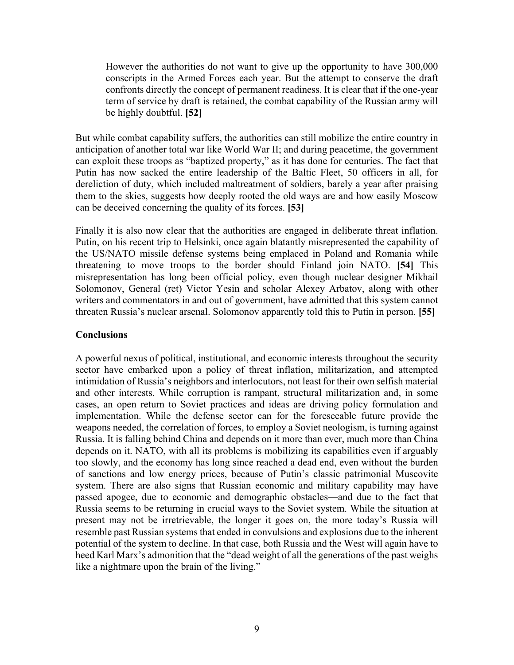However the authorities do not want to give up the opportunity to have 300,000 conscripts in the Armed Forces each year. But the attempt to conserve the draft confronts directly the concept of permanent readiness. It is clear that if the one-year term of service by draft is retained, the combat capability of the Russian army will be highly doubtful. **[52]**

But while combat capability suffers, the authorities can still mobilize the entire country in anticipation of another total war like World War II; and during peacetime, the government can exploit these troops as "baptized property," as it has done for centuries. The fact that Putin has now sacked the entire leadership of the Baltic Fleet, 50 officers in all, for dereliction of duty, which included maltreatment of soldiers, barely a year after praising them to the skies, suggests how deeply rooted the old ways are and how easily Moscow can be deceived concerning the quality of its forces. **[53]**

Finally it is also now clear that the authorities are engaged in deliberate threat inflation. Putin, on his recent trip to Helsinki, once again blatantly misrepresented the capability of the US/NATO missile defense systems being emplaced in Poland and Romania while threatening to move troops to the border should Finland join NATO. **[54]** This misrepresentation has long been official policy, even though nuclear designer Mikhail Solomonov, General (ret) Victor Yesin and scholar Alexey Arbatov, along with other writers and commentators in and out of government, have admitted that this system cannot threaten Russia's nuclear arsenal. Solomonov apparently told this to Putin in person. **[55]**

#### **Conclusions**

A powerful nexus of political, institutional, and economic interests throughout the security sector have embarked upon a policy of threat inflation, militarization, and attempted intimidation of Russia's neighbors and interlocutors, not least for their own selfish material and other interests. While corruption is rampant, structural militarization and, in some cases, an open return to Soviet practices and ideas are driving policy formulation and implementation. While the defense sector can for the foreseeable future provide the weapons needed, the correlation of forces, to employ a Soviet neologism, is turning against Russia. It is falling behind China and depends on it more than ever, much more than China depends on it. NATO, with all its problems is mobilizing its capabilities even if arguably too slowly, and the economy has long since reached a dead end, even without the burden of sanctions and low energy prices, because of Putin's classic patrimonial Muscovite system. There are also signs that Russian economic and military capability may have passed apogee, due to economic and demographic obstacles—and due to the fact that Russia seems to be returning in crucial ways to the Soviet system. While the situation at present may not be irretrievable, the longer it goes on, the more today's Russia will resemble past Russian systems that ended in convulsions and explosions due to the inherent potential of the system to decline. In that case, both Russia and the West will again have to heed Karl Marx's admonition that the "dead weight of all the generations of the past weighs like a nightmare upon the brain of the living."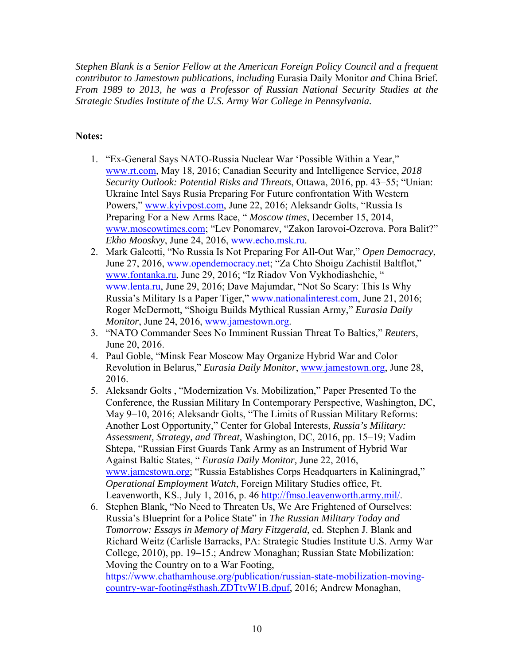*Stephen Blank is a Senior Fellow at the American Foreign Policy Council and a frequent contributor to Jamestown publications, including* Eurasia Daily Monitor *and* China Brief*. From 1989 to 2013, he was a Professor of Russian National Security Studies at the Strategic Studies Institute of the U.S. Army War College in Pennsylvania.* 

## **Notes:**

- 1. "Ex-General Says NATO-Russia Nuclear War 'Possible Within a Year," www.rt.com, May 18, 2016; Canadian Security and Intelligence Service, *2018 Security Outlook: Potential Risks and Threats*, Ottawa, 2016, pp. 43–55; "Unian: Ukraine Intel Says Rusia Preparing For Future confrontation With Western Powers," www.kyivpost.com, June 22, 2016; Aleksandr Golts, "Russia Is Preparing For a New Arms Race, " *Moscow times*, December 15, 2014, www.moscowtimes.com; "Lev Ponomarev, "Zakon Iarovoi-Ozerova. Pora Balit?" *Ekho Mooskvy*, June 24, 2016, www.echo.msk.ru.
- 2. Mark Galeotti, "No Russia Is Not Preparing For All-Out War," *Open Democracy*, June 27, 2016, www.opendemocracy.net; "Za Chto Shoigu Zachistil Baltflot," www.fontanka.ru, June 29, 2016; "Iz Riadov Von Vykhodiashchie, " www.lenta.ru, June 29, 2016; Dave Majumdar, "Not So Scary: This Is Why Russia's Military Is a Paper Tiger," www.nationalinterest.com, June 21, 2016; Roger McDermott, "Shoigu Builds Mythical Russian Army," *Eurasia Daily Monitor*, June 24, 2016, www.jamestown.org.
- 3. "NATO Commander Sees No Imminent Russian Threat To Baltics," *Reuters*, June 20, 2016.
- 4. Paul Goble, "Minsk Fear Moscow May Organize Hybrid War and Color Revolution in Belarus," *Eurasia Daily Monitor*, www.jamestown.org, June 28, 2016.
- 5. Aleksandr Golts , "Modernization Vs. Mobilization," Paper Presented To the Conference, the Russian Military In Contemporary Perspective, Washington, DC, May 9–10, 2016; Aleksandr Golts, "The Limits of Russian Military Reforms: Another Lost Opportunity," Center for Global Interests, *Russia's Military: Assessment, Strategy, and Threat,* Washington, DC, 2016, pp. 15–19; Vadim Shtepa, "Russian First Guards Tank Army as an Instrument of Hybrid War Against Baltic States, " *Eurasia Daily Monitor,* June 22, 2016, www.jamestown.org; "Russia Establishes Corps Headquarters in Kaliningrad," *Operational Employment Watch*, Foreign Military Studies office, Ft. Leavenworth, KS., July 1, 2016, p. 46 http://fmso.leavenworth.army.mil/.
- 6. Stephen Blank, "No Need to Threaten Us, We Are Frightened of Ourselves: Russia's Blueprint for a Police State" in *The Russian Military Today and Tomorrow: Essays in Memory of Mary Fitzgerald*, ed. Stephen J. Blank and Richard Weitz (Carlisle Barracks, PA: Strategic Studies Institute U.S. Army War College, 2010), pp. 19–15.; Andrew Monaghan; Russian State Mobilization: Moving the Country on to a War Footing, https://www.chathamhouse.org/publication/russian-state-mobilization-movingcountry-war-footing#sthash.ZDTtvW1B.dpuf, 2016; Andrew Monaghan,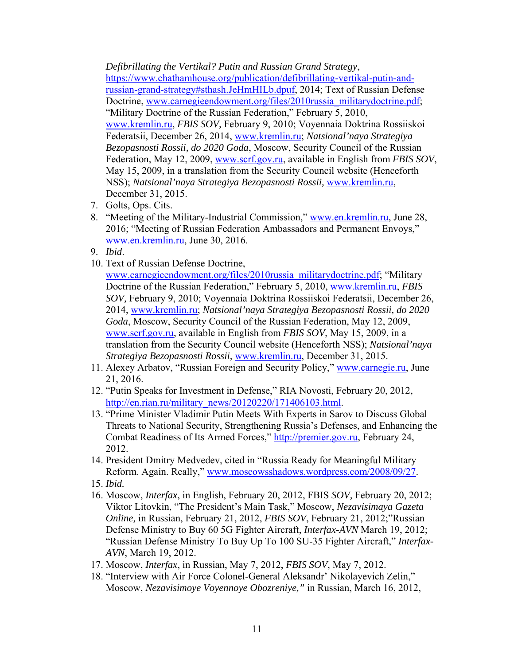*Defibrillating the Vertikal? Putin and Russian Grand Strategy*,

https://www.chathamhouse.org/publication/defibrillating-vertikal-putin-andrussian-grand-strategy#sthash.JeHmHILb.dpuf, 2014; Text of Russian Defense Doctrine, www.carnegieendowment.org/files/2010russia\_militarydoctrine.pdf; "Military Doctrine of the Russian Federation," February 5, 2010, www.kremlin.ru, *FBIS SOV,* February 9, 2010; Voyennaia Doktrina Rossiiskoi Federatsii, December 26, 2014, www.kremlin.ru; *Natsional'naya Strategiya Bezopasnosti Rossii, do 2020 Goda*, Moscow, Security Council of the Russian Federation, May 12, 2009, www.scrf.gov.ru, available in English from *FBIS SOV*, May 15, 2009, in a translation from the Security Council website (Henceforth

- NSS); *Natsional'naya Strategiya Bezopasnosti Rossii,* www.kremlin.ru, December 31, 2015.
- 7. Golts, Ops. Cits.
- 8. "Meeting of the Military-Industrial Commission," www.en.kremlin.ru, June 28, 2016; "Meeting of Russian Federation Ambassadors and Permanent Envoys," www.en.kremlin.ru, June 30, 2016.
- 9. *Ibid*.
- 10. Text of Russian Defense Doctrine,

www.carnegieendowment.org/files/2010russia\_militarydoctrine.pdf; "Military Doctrine of the Russian Federation," February 5, 2010, www.kremlin.ru, *FBIS SOV,* February 9, 2010; Voyennaia Doktrina Rossiiskoi Federatsii, December 26, 2014, www.kremlin.ru; *Natsional'naya Strategiya Bezopasnosti Rossii, do 2020 Goda*, Moscow, Security Council of the Russian Federation, May 12, 2009, www.scrf.gov.ru, available in English from *FBIS SOV*, May 15, 2009, in a translation from the Security Council website (Henceforth NSS); *Natsional'naya Strategiya Bezopasnosti Rossii,* www.kremlin.ru, December 31, 2015.

- 11. Alexey Arbatov, "Russian Foreign and Security Policy," www.carnegie.ru, June 21, 2016.
- 12. "Putin Speaks for Investment in Defense," RIA Novosti, February 20, 2012, http://en.rian.ru/military\_news/20120220/171406103.html.
- 13. "Prime Minister Vladimir Putin Meets With Experts in Sarov to Discuss Global Threats to National Security, Strengthening Russia's Defenses, and Enhancing the Combat Readiness of Its Armed Forces," http://premier.gov.ru, February 24, 2012.
- 14. President Dmitry Medvedev, cited in "Russia Ready for Meaningful Military Reform. Again. Really," www.moscowsshadows.wordpress.com/2008/09/27.
- 15. *Ibid.*
- 16. Moscow, *Interfax*, in English, February 20, 2012, FBIS *SOV,* February 20, 2012; Viktor Litovkin, "The President's Main Task," Moscow, *Nezavisimaya Gazeta Online,* in Russian, February 21, 2012, *FBIS SOV*, February 21, 2012;"Russian Defense Ministry to Buy 60 5G Fighter Aircraft, *Interfax-AVN* March 19, 2012; "Russian Defense Ministry To Buy Up To 100 SU-35 Fighter Aircraft," *Interfax-AVN*, March 19, 2012.
- 17. Moscow, *Interfax*, in Russian, May 7, 2012, *FBIS SOV*, May 7, 2012.
- 18. "Interview with Air Force Colonel-General Aleksandr' Nikolayevich Zelin," Moscow, *Nezavisimoye Voyennoye Obozreniye,"* in Russian, March 16, 2012,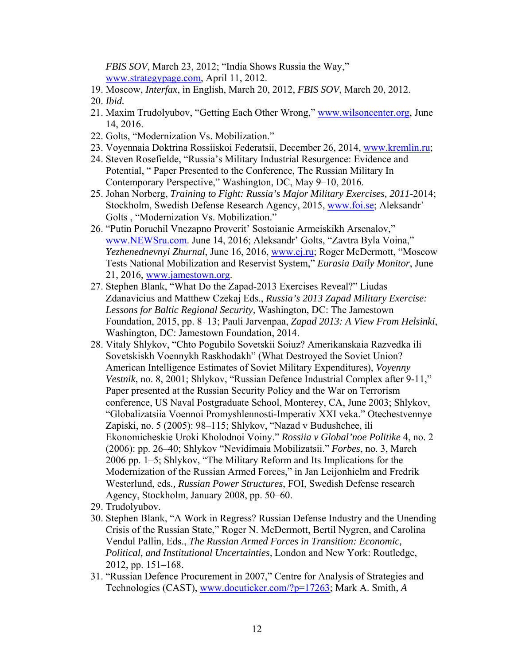*FBIS SOV*, March 23, 2012; "India Shows Russia the Way," www.strategypage.com, April 11, 2012.

- 19. Moscow, *Interfax*, in English, March 20, 2012, *FBIS SOV*, March 20, 2012.
- 20. *Ibid.*
- 21. Maxim Trudolyubov, "Getting Each Other Wrong," www.wilsoncenter.org, June 14, 2016.
- 22. Golts, "Modernization Vs. Mobilization."
- 23. Voyennaia Doktrina Rossiiskoi Federatsii, December 26, 2014, www.kremlin.ru;
- 24. Steven Rosefielde, "Russia's Military Industrial Resurgence: Evidence and Potential, " Paper Presented to the Conference, The Russian Military In Contemporary Perspective," Washington, DC, May 9–10, 2016.
- 25. Johan Norberg, *Training to Fight: Russia's Major Military Exercises, 2011-*2014; Stockholm, Swedish Defense Research Agency, 2015, www.foi.se; Aleksandr' Golts , "Modernization Vs. Mobilization."
- 26. "Putin Poruchil Vnezapno Proverit' Sostoianie Armeiskikh Arsenalov," www.NEWSru.com. June 14, 2016; Aleksandr' Golts, "Zavtra Byla Voina," *Yezhenednevnyi Zhurnal*, June 16, 2016, www.ej.ru; Roger McDermott, "Moscow Tests National Mobilization and Reservist System," *Eurasia Daily Monitor*, June 21, 2016, www.jamestown.org.
- 27. Stephen Blank, "What Do the Zapad-2013 Exercises Reveal?" Liudas Zdanavicius and Matthew Czekaj Eds., *Russia's 2013 Zapad Military Exercise: Lessons for Baltic Regional Security,* Washington, DC: The Jamestown Foundation, 2015, pp. 8–13; Pauli Jarvenpaa, *Zapad 2013: A View From Helsinki*, Washington, DC: Jamestown Foundation, 2014.
- 28. Vitaly Shlykov, "Chto Pogubilo Sovetskii Soiuz? Amerikanskaia Razvedka ili Sovetskiskh Voennykh Raskhodakh" (What Destroyed the Soviet Union? American Intelligence Estimates of Soviet Military Expenditures), *Voyenny Vestnik*, no. 8, 2001; Shlykov, "Russian Defence Industrial Complex after 9-11," Paper presented at the Russian Security Policy and the War on Terrorism conference, US Naval Postgraduate School, Monterey, CA, June 2003; Shlykov, "Globalizatsiia Voennoi Promyshlennosti-Imperativ XXI veka." Otechestvennye Zapiski, no. 5 (2005): 98–115; Shlykov, "Nazad v Budushchee, ili Ekonomicheskie Uroki Kholodnoi Voiny." *Rossiia v Global'noe Politike* 4, no. 2 (2006): pp. 26–40; Shlykov "Nevidimaia Mobilizatsii." *Forbes*, no. 3, March 2006 pp. 1–5; Shlykov, "The Military Reform and Its Implications for the Modernization of the Russian Armed Forces," in Jan Leijonhielm and Fredrik Westerlund, eds*., Russian Power Structures*, FOI, Swedish Defense research Agency, Stockholm, January 2008, pp. 50–60.
- 29. Trudolyubov.
- 30. Stephen Blank, "A Work in Regress? Russian Defense Industry and the Unending Crisis of the Russian State," Roger N. McDermott, Bertil Nygren, and Carolina Vendul Pallin, Eds., *The Russian Armed Forces in Transition: Economic, Political, and Institutional Uncertainties,* London and New York: Routledge, 2012, pp. 151–168.
- 31. "Russian Defence Procurement in 2007," Centre for Analysis of Strategies and Technologies (CAST), www.docuticker.com/?p=17263; Mark A. Smith, *A*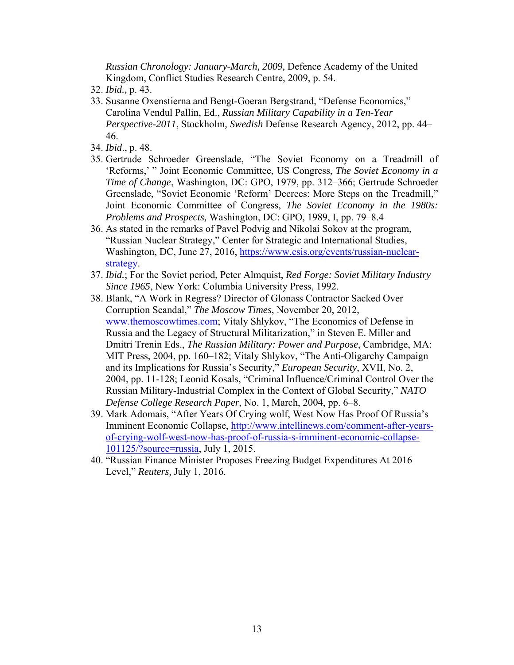*Russian Chronology: January-March, 2009,* Defence Academy of the United Kingdom, Conflict Studies Research Centre, 2009, p. 54.

- 32. *Ibid.,* p. 43.
- 33. Susanne Oxenstierna and Bengt-Goeran Bergstrand, "Defense Economics," Carolina Vendul Pallin, Ed., *Russian Military Capability in a Ten-Year Perspective-2011*, Stockholm*, Swedish* Defense Research Agency, 2012, pp. 44– 46.
- 34. *Ibid*., p. 48.
- 35. Gertrude Schroeder Greenslade, "The Soviet Economy on a Treadmill of 'Reforms,' " Joint Economic Committee, US Congress, *The Soviet Economy in a Time of Change*, Washington, DC: GPO, 1979, pp. 312–366; Gertrude Schroeder Greenslade, "Soviet Economic 'Reform' Decrees: More Steps on the Treadmill," Joint Economic Committee of Congress, *The Soviet Economy in the 1980s: Problems and Prospects,* Washington, DC: GPO, 1989, I, pp. 79–8.4
- 36. As stated in the remarks of Pavel Podvig and Nikolai Sokov at the program, "Russian Nuclear Strategy," Center for Strategic and International Studies, Washington, DC, June 27, 2016, https://www.csis.org/events/russian-nuclearstrategy.
- 37. *Ibid.*; For the Soviet period, Peter Almquist, *Red Forge: Soviet Military Industry Since 1965*, New York: Columbia University Press, 1992.
- 38. Blank, "A Work in Regress? Director of Glonass Contractor Sacked Over Corruption Scandal," *The Moscow Times*, November 20, 2012, www.themoscowtimes.com; Vitaly Shlykov, "The Economics of Defense in Russia and the Legacy of Structural Militarization," in Steven E. Miller and Dmitri Trenin Eds., *The Russian Military: Power and Purpose*, Cambridge, MA: MIT Press, 2004, pp. 160–182; Vitaly Shlykov, "The Anti-Oligarchy Campaign and its Implications for Russia's Security," *European Security*, XVII, No. 2, 2004, pp. 11-128; Leonid Kosals, "Criminal Influence/Criminal Control Over the Russian Military-Industrial Complex in the Context of Global Security," *NATO Defense College Research Paper*, No. 1, March, 2004, pp. 6–8.
- 39. Mark Adomais, "After Years Of Crying wolf, West Now Has Proof Of Russia's Imminent Economic Collapse, http://www.intellinews.com/comment-after-yearsof-crying-wolf-west-now-has-proof-of-russia-s-imminent-economic-collapse-101125/?source=russia, July 1, 2015.
- 40. "Russian Finance Minister Proposes Freezing Budget Expenditures At 2016 Level," *Reuters,* July 1, 2016.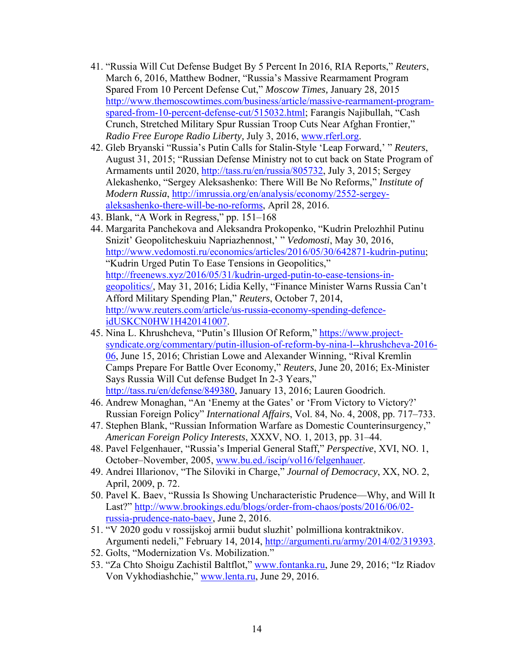- 41. "Russia Will Cut Defense Budget By 5 Percent In 2016, RIA Reports," *Reuters*, March 6, 2016, Matthew Bodner, "Russia's Massive Rearmament Program Spared From 10 Percent Defense Cut," *Moscow Times,* January 28, 2015 http://www.themoscowtimes.com/business/article/massive-rearmament-programspared-from-10-percent-defense-cut/515032.html; Farangis Najibullah, "Cash Crunch, Stretched Military Spur Russian Troop Cuts Near Afghan Frontier," *Radio Free Europe Radio Liberty,* July 3, 2016, www.rferl.org.
- 42. Gleb Bryanski "Russia's Putin Calls for Stalin-Style 'Leap Forward,' " *Reuters*, August 31, 2015; "Russian Defense Ministry not to cut back on State Program of Armaments until 2020, http://tass.ru/en/russia/805732, July 3, 2015; Sergey Alekashenko, "Sergey Aleksashenko: There Will Be No Reforms," *Institute of Modern Russia*, http://imrussia.org/en/analysis/economy/2552-sergeyaleksashenko-there-will-be-no-reforms, April 28, 2016.
- 43. Blank, "A Work in Regress," pp. 151–168
- 44. Margarita Panchekova and Aleksandra Prokopenko, "Kudrin Prelozhhil Putinu Snizit' Geopolitcheskuiu Napriazhennost,' " *Vedomosti*, May 30, 2016, http://www.vedomosti.ru/economics/articles/2016/05/30/642871-kudrin-putinu; "Kudrin Urged Putin To Ease Tensions in Geopolitics," http://freenews.xyz/2016/05/31/kudrin-urged-putin-to-ease-tensions-ingeopolitics/, May 31, 2016; Lidia Kelly, "Finance Minister Warns Russia Can't Afford Military Spending Plan," *Reuters*, October 7, 2014, http://www.reuters.com/article/us-russia-economy-spending-defenceidUSKCN0HW1H420141007.
- 45. Nina L. Khrushcheva, "Putin's Illusion Of Reform," https://www.projectsyndicate.org/commentary/putin-illusion-of-reform-by-nina-l--khrushcheva-2016- 06, June 15, 2016; Christian Lowe and Alexander Winning, "Rival Kremlin Camps Prepare For Battle Over Economy," *Reuters*, June 20, 2016; Ex-Minister Says Russia Will Cut defense Budget In 2-3 Years," http://tass.ru/en/defense/849380, January 13, 2016; Lauren Goodrich.
- 46. Andrew Monaghan, "An 'Enemy at the Gates' or 'From Victory to Victory?' Russian Foreign Policy" *International Affairs*, Vol. 84, No. 4, 2008, pp. 717–733.
- 47. Stephen Blank, "Russian Information Warfare as Domestic Counterinsurgency," *American Foreign Policy Interests*, XXXV, NO. 1, 2013, pp. 31–44.
- 48. Pavel Felgenhauer, "Russia's Imperial General Staff," *Perspective*, XVI, NO. 1, October–November, 2005, www.bu.ed./iscip/vol16/felgenhauer.
- 49. Andrei Illarionov, "The Siloviki in Charge," *Journal of Democracy*, XX, NO. 2, April, 2009, p. 72.
- 50. Pavel K. Baev, "Russia Is Showing Uncharacteristic Prudence—Why, and Will It Last?" http://www.brookings.edu/blogs/order-from-chaos/posts/2016/06/02 russia-prudence-nato-baev, June 2, 2016.
- 51. "V 2020 godu v rossijskoj armii budut sluzhit' polmilliona kontraktnikov. Argumenti nedeli," February 14, 2014, http://argumenti.ru/army/2014/02/319393.
- 52. Golts, "Modernization Vs. Mobilization."
- 53. "Za Chto Shoigu Zachistil Baltflot," www.fontanka.ru, June 29, 2016; "Iz Riadov Von Vykhodiashchie," www.lenta.ru, June 29, 2016.